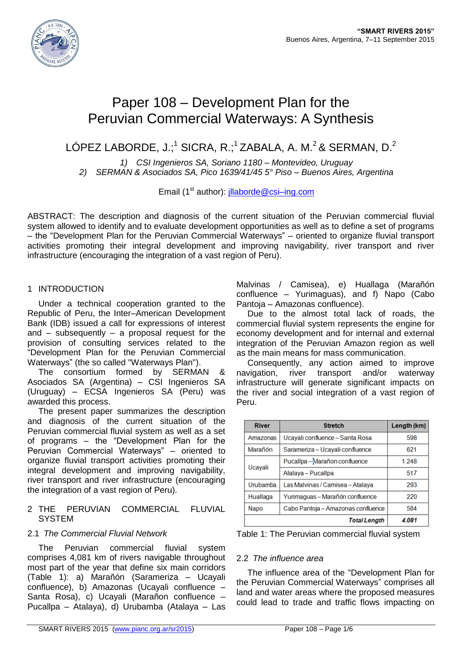

# Paper 108 – Development Plan for the Peruvian Commercial Waterways: A Synthesis

LÓPEZ LABORDE, J.; $^1$  SICRA, R.; $^1$ ZABALA, A. M. $^2$ & SERMAN, D. $^2$ 

*1) CSI Ingenieros SA, Soriano 1180 – Montevideo, Uruguay 2) SERMAN & Asociados SA, Pico 1639/41/45 5° Piso – Buenos Aires, Argentina*

Email (1<sup>st</sup> author): *illaborde@csi-ing.com* 

ABSTRACT: The description and diagnosis of the current situation of the Peruvian commercial fluvial system allowed to identify and to evaluate development opportunities as well as to define a set of programs – the "Development Plan for the Peruvian Commercial Waterways" – oriented to organize fluvial transport activities promoting their integral development and improving navigability, river transport and river infrastructure (encouraging the integration of a vast region of Peru).

## 1 INTRODUCTION

Under a technical cooperation granted to the Republic of Peru, the Inter–American Development Bank (IDB) issued a call for expressions of interest and  $-$  subsequently  $-$  a proposal request for the provision of consulting services related to the "Development Plan for the Peruvian Commercial Waterways" (the so called "Waterways Plan").

The consortium formed by SERMAN & Asociados SA (Argentina) – CSI Ingenieros SA (Uruguay) – ECSA Ingenieros SA (Peru) was awarded this process.

The present paper summarizes the description and diagnosis of the current situation of the Peruvian commercial fluvial system as well as a set of programs – the "Development Plan for the Peruvian Commercial Waterways" – oriented to organize fluvial transport activities promoting their integral development and improving navigability, river transport and river infrastructure (encouraging the integration of a vast region of Peru).

#### 2 THE PERUVIAN COMMERCIAL FLUVIAL **SYSTEM**

## 2.1 *The Commercial Fluvial Network*

The Peruvian commercial fluvial system comprises 4,081 km of rivers navigable throughout most part of the year that define six main corridors (Table 1): a) Marañón (Sarameriza – Ucayali confluence), b) Amazonas (Ucayali confluence – Santa Rosa), c) Ucayali (Marañon confluence – Pucallpa – Atalaya), d) Urubamba (Atalaya – Las

Malvinas / Camisea), e) Huallaga (Marañón confluence – Yurimaguas), and f) Napo (Cabo Pantoja – Amazonas confluence).

Due to the almost total lack of roads, the commercial fluvial system represents the engine for economy development and for internal and external integration of the Peruvian Amazon region as well as the main means for mass communication.

Consequently, any action aimed to improve navigation, river transport and/or waterway infrastructure will generate significant impacts on the river and social integration of a vast region of Peru.

| <b>River</b> | <b>Stretch</b>                     | Length (km) |
|--------------|------------------------------------|-------------|
| Amazonas     | Ucayali confluence - Santa Rosa    | 598         |
| Marañón      | Sarameriza - Ucayali confluence    | 621         |
|              | Pucallpa - Marañon confluence      | 1.248       |
| Ucayali      | Atalaya - Pucallpa                 | 517         |
| Urubamba     | Las Malvinas / Camisea - Atalaya   | 293         |
| Huallaga     | Yurimaguas - Marañón confluence    | 220         |
| Napo         | Cabo Pantoja - Amazonas confluence | 584         |
|              | <b>Total Length</b>                | 4.081       |

Table 1: The Peruvian commercial fluvial system

## 2.2 *The influence area*

The influence area of the "Development Plan for the Peruvian Commercial Waterways" comprises all land and water areas where the proposed measures could lead to trade and traffic flows impacting on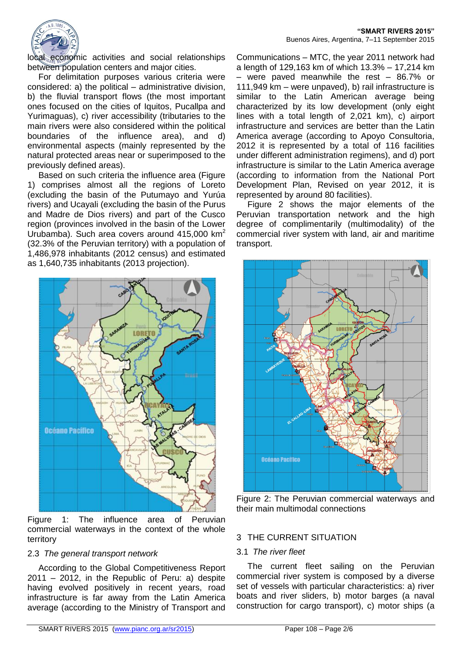

local economic activities and social relationships between population centers and major cities.

For delimitation purposes various criteria were considered: a) the political – administrative division, b) the fluvial transport flows (the most important ones focused on the cities of Iquitos, Pucallpa and Yurimaguas), c) river accessibility (tributaries to the main rivers were also considered within the political boundaries of the influence area), and d) environmental aspects (mainly represented by the natural protected areas near or superimposed to the previously defined areas).

Based on such criteria the influence area (Figure 1) comprises almost all the regions of Loreto (excluding the basin of the Putumayo and Yurúa rivers) and Ucayali (excluding the basin of the Purus and Madre de Dios rivers) and part of the Cusco region (provinces involved in the basin of the Lower Urubamba). Such area covers around  $415,000$  km<sup>2</sup> (32.3% of the Peruvian territory) with a population of 1,486,978 inhabitants (2012 census) and estimated as 1,640,735 inhabitants (2013 projection).



Figure 1: The influence area of Peruvian commercial waterways in the context of the whole territory

## 2.3 *The general transport network*

According to the Global Competitiveness Report 2011 – 2012, in the Republic of Peru: a) despite having evolved positively in recent years, road infrastructure is far away from the Latin America average (according to the Ministry of Transport and Communications – MTC, the year 2011 network had a length of 129,163 km of which 13.3% – 17,214 km – were paved meanwhile the rest – 86.7% or 111,949 km – were unpaved), b) rail infrastructure is similar to the Latin American average being characterized by its low development (only eight lines with a total length of 2,021 km), c) airport infrastructure and services are better than the Latin America average (according to Apoyo Consultoria, 2012 it is represented by a total of 116 facilities under different administration regimens), and d) port infrastructure is similar to the Latin America average (according to information from the National Port Development Plan, Revised on year 2012, it is represented by around 80 facilities).

Figure 2 shows the major elements of the Peruvian transportation network and the high degree of complimentarily (multimodality) of the commercial river system with land, air and maritime transport.



Figure 2: The Peruvian commercial waterways and their main multimodal connections

# 3 THE CURRENT SITUATION

## 3.1 *The river fleet*

The current fleet sailing on the Peruvian commercial river system is composed by a diverse set of vessels with particular characteristics: a) river boats and river sliders, b) motor barges (a naval construction for cargo transport), c) motor ships (a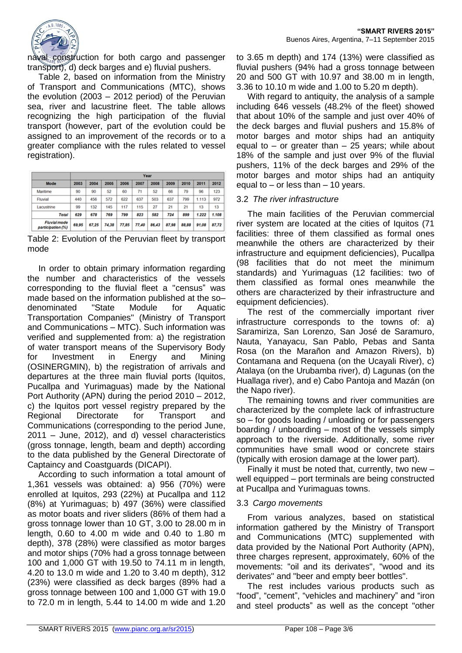

naval construction for both cargo and passenger transport), d) deck barges and e) fluvial pushers.

Table 2, based on information from the Ministry of Transport and Communications (MTC), shows the evolution (2003 – 2012 period) of the Peruvian sea, river and lacustrine fleet. The table allows recognizing the high participation of the fluvial transport (however, part of the evolution could be assigned to an improvement of the records or to a greater compliance with the rules related to vessel registration).

|                                          | Year  |       |       |       |       |       |       |       |       |       |
|------------------------------------------|-------|-------|-------|-------|-------|-------|-------|-------|-------|-------|
| Mode                                     | 2003  | 2004  | 2005  | 2006  | 2007  | 2008  | 2009  | 2010  | 2011  | 2012  |
| Maritime                                 | 90    | 90    | 52    | 60    | 71    | 52    | 66    | 79    | 96    | 123   |
| Fluvial                                  | 440   | 456   | 572   | 622   | 637   | 503   | 637   | 799   | 1.113 | 972   |
| Lacustrine                               | 99    | 132   | 145   | 117   | 115   | 27    | 21    | 21    | 13    | 13    |
| <b>Total</b>                             | 629   | 678   | 769   | 799   | 823   | 582   | 724   | 899   | 1.222 | 1.108 |
| <b>Fluvial mode</b><br>participation (%) | 69,95 | 67.25 | 74,38 | 77.85 | 77,40 | 86,43 | 87,98 | 88,88 | 91.08 | 87.72 |

Table 2: Evolution of the Peruvian fleet by transport mode

In order to obtain primary information regarding the number and characteristics of the vessels corresponding to the fluvial fleet a "census" was made based on the information published at the so– denominated "State Module for Aquatic Transportation Companies" (Ministry of Transport and Communications – MTC). Such information was verified and supplemented from: a) the registration of water transport means of the Supervisory Body for Investment in Energy and Mining (OSINERGMIN), b) the registration of arrivals and departures at the three main fluvial ports (Iquitos, Pucallpa and Yurimaguas) made by the National Port Authority (APN) during the period 2010 – 2012, c) the Iquitos port vessel registry prepared by the Regional Directorate for Transport and Communications (corresponding to the period June, 2011 – June, 2012), and d) vessel characteristics (gross tonnage, length, beam and depth) according to the data published by the General Directorate of Captaincy and Coastguards (DICAPI).

According to such information a total amount of 1,361 vessels was obtained: a) 956 (70%) were enrolled at Iquitos, 293 (22%) at Pucallpa and 112 (8%) at Yurimaguas; b) 497 (36%) were classified as motor boats and river sliders (86% of them had a gross tonnage lower than 10 GT, 3.00 to 28.00 m in length, 0.60 to 4.00 m wide and 0.40 to 1.80 m depth), 378 (28%) were classified as motor barges and motor ships (70% had a gross tonnage between 100 and 1,000 GT with 19.50 to 74.11 m in length, 4.20 to 13.0 m wide and 1.20 to 3.40 m depth), 312 (23%) were classified as deck barges (89% had a gross tonnage between 100 and 1,000 GT with 19.0 to 72.0 m in length, 5.44 to 14.00 m wide and 1.20

to 3.65 m depth) and 174 (13%) were classified as fluvial pushers (94% had a gross tonnage between 20 and 500 GT with 10.97 and 38.00 m in length, 3.36 to 10.10 m wide and 1.00 to 5.20 m depth).

With regard to antiquity, the analysis of a sample including 646 vessels (48.2% of the fleet) showed that about 10% of the sample and just over 40% of the deck barges and fluvial pushers and 15.8% of motor barges and motor ships had an antiquity equal to  $-$  or greater than  $-$  25 years; while about 18% of the sample and just over 9% of the fluvial pushers, 11% of the deck barges and 29% of the motor barges and motor ships had an antiquity equal to – or less than – 10 years.

## 3.2 *The river infrastructure*

The main facilities of the Peruvian commercial river system are located at the cities of Iquitos (71 facilities: three of them classified as formal ones meanwhile the others are characterized by their infrastructure and equipment deficiencies), Pucallpa (98 facilities that do not meet the minimum standards) and Yurimaguas (12 facilities: two of them classified as formal ones meanwhile the others are characterized by their infrastructure and equipment deficiencies).

The rest of the commercially important river infrastructure corresponds to the towns of: a) Saramiriza, San Lorenzo, San José de Saramuro, Nauta, Yanayacu, San Pablo, Pebas and Santa Rosa (on the Marañon and Amazon Rivers), b) Contamana and Requena (on the Ucayali River), c) Atalaya (on the Urubamba river), d) Lagunas (on the Huallaga river), and e) Cabo Pantoja and Mazán (on the Napo river).

The remaining towns and river communities are characterized by the complete lack of infrastructure so – for goods loading / unloading or for passengers boarding / unboarding – most of the vessels simply approach to the riverside. Additionally, some river communities have small wood or concrete stairs (typically with erosion damage at the lower part).

Finally it must be noted that, currently, two new – well equipped – port terminals are being constructed at Pucallpa and Yurimaguas towns.

## 3.3 *Cargo movements*

From various analyzes, based on statistical information gathered by the Ministry of Transport and Communications (MTC) supplemented with data provided by the National Port Authority (APN), three charges represent, approximately, 60% of the movements: "oil and its derivates", "wood and its derivates" and "beer and empty beer bottles".

The rest includes various products such as "food", "cement", "vehicles and machinery" and "iron and steel products" as well as the concept "other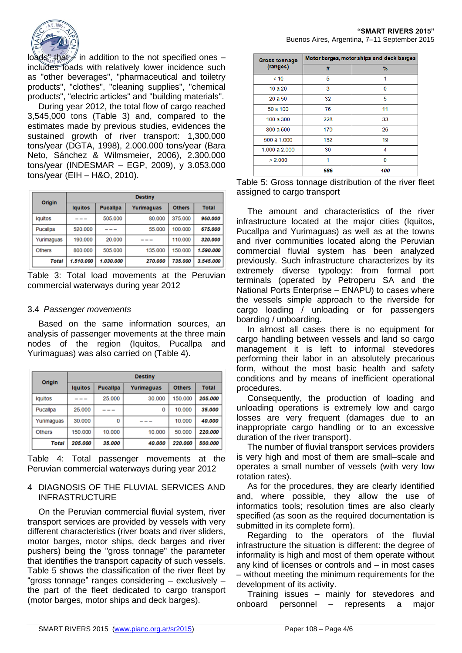

 $\log ds$ " that  $\neq$  in addition to the not specified ones – includes loads with relatively lower incidence such as "other beverages", "pharmaceutical and toiletry products", "clothes", "cleaning supplies", "chemical products", "electric articles" and "building materials".

During year 2012, the total flow of cargo reached 3,545,000 tons (Table 3) and, compared to the estimates made by previous studies, evidences the sustained growth of river transport: 1,300,000 tons/year (DGTA, 1998), 2.000.000 tons/year (Bara Neto, Sánchez & Wilmsmeier, 2006), 2.300.000 tons/year (INDESMAR – EGP, 2009), y 3.053.000 tons/year (EIH – H&O, 2010).

| Origin        | <b>Destiny</b> |                 |            |               |              |  |
|---------------|----------------|-----------------|------------|---------------|--------------|--|
|               | <b>Iquitos</b> | <b>Pucalipa</b> | Yurimaguas | <b>Others</b> | <b>Total</b> |  |
| lquitos       |                | 505.000         | 80.000     | 375.000       | 960.000      |  |
| Pucallpa      | 520.000        |                 | 55.000     | 100.000       | 675,000      |  |
| Yurimaguas    | 190.000        | 20,000          |            | 110.000       | 320.000      |  |
| <b>Others</b> | 800.000        | 505.000         | 135,000    | 150.000       | 1.590.000    |  |
| Total         | 1.510.000      | 1.030.000       | 270.000    | 735,000       | 3.545.000    |  |

Table 3: Total load movements at the Peruvian commercial waterways during year 2012

## 3.4 *Passenger movements*

Based on the same information sources, an analysis of passenger movements at the three main nodes of the region (Iquitos, Pucallpa and Yurimaguas) was also carried on (Table 4).

| Origin        | <b>Destiny</b> |                 |            |               |              |  |
|---------------|----------------|-----------------|------------|---------------|--------------|--|
|               | lauitos        | <b>Pucalipa</b> | Yurimaguas | <b>Others</b> | <b>Total</b> |  |
| lguitos       |                | 25.000          | 30,000     | 150.000       | 205,000      |  |
| Pucallpa      | 25.000         |                 | ٥          | 10.000        | 35.000       |  |
| Yurimaguas    | 30.000         | 0               |            | 10.000        | 40.000       |  |
| <b>Others</b> | 150.000        | 10.000          | 10.000     | 50.000        | 220.000      |  |
| Total         | 205.000        | 35.000          | 40.000     | 220.000       | 500.000      |  |

Table 4: Total passenger movements at the Peruvian commercial waterways during year 2012

#### 4 DIAGNOSIS OF THE FLUVIAL SERVICES AND INFRASTRUCTURE

On the Peruvian commercial fluvial system, river transport services are provided by vessels with very different characteristics (river boats and river sliders, motor barges, motor ships, deck barges and river pushers) being the "gross tonnage" the parameter that identifies the transport capacity of such vessels. Table 5 shows the classification of the river fleet by "gross tonnage" ranges considering – exclusively – the part of the fleet dedicated to cargo transport (motor barges, motor ships and deck barges).

| <b>Gross tonnage</b> | Motor barges, motor ships and deck barges |     |  |  |  |  |
|----------------------|-------------------------------------------|-----|--|--|--|--|
| (ranges)             | #                                         | %   |  |  |  |  |
| < 10                 | 5                                         | 1   |  |  |  |  |
| 10a20                | 3                                         | 0   |  |  |  |  |
| 20 a 50              | 32                                        | 5   |  |  |  |  |
| 50 a 100             | 76                                        | 11  |  |  |  |  |
| 100 a 300            | 228                                       | 33  |  |  |  |  |
| 300 a 500            | 179                                       | 26  |  |  |  |  |
| 500 a 1.000          | 132                                       | 19  |  |  |  |  |
| 1.000 a 2.000        | 30                                        | 4   |  |  |  |  |
| > 2.000              | 1                                         | n   |  |  |  |  |
|                      | 686                                       | 100 |  |  |  |  |

| Table 5: Gross tonnage distribution of the river fleet |  |  |
|--------------------------------------------------------|--|--|
| assigned to cargo transport                            |  |  |

The amount and characteristics of the river infrastructure located at the major cities (Iquitos, Pucallpa and Yurimaguas) as well as at the towns and river communities located along the Peruvian commercial fluvial system has been analyzed previously. Such infrastructure characterizes by its extremely diverse typology: from formal port terminals (operated by Petroperu SA and the National Ports Enterprise – ENAPU) to cases where the vessels simple approach to the riverside for cargo loading / unloading or for passengers boarding / unboarding.

In almost all cases there is no equipment for cargo handling between vessels and land so cargo management it is left to informal stevedores performing their labor in an absolutely precarious form, without the most basic health and safety conditions and by means of inefficient operational procedures.

Consequently, the production of loading and unloading operations is extremely low and cargo losses are very frequent (damages due to an inappropriate cargo handling or to an excessive duration of the river transport).

The number of fluvial transport services providers is very high and most of them are small–scale and operates a small number of vessels (with very low rotation rates).

As for the procedures, they are clearly identified and, where possible, they allow the use of informatics tools; resolution times are also clearly specified (as soon as the required documentation is submitted in its complete form).

Regarding to the operators of the fluvial infrastructure the situation is different: the degree of informality is high and most of them operate without any kind of licenses or controls and – in most cases – without meeting the minimum requirements for the development of its activity.

Training issues – mainly for stevedores and onboard personnel – represents a major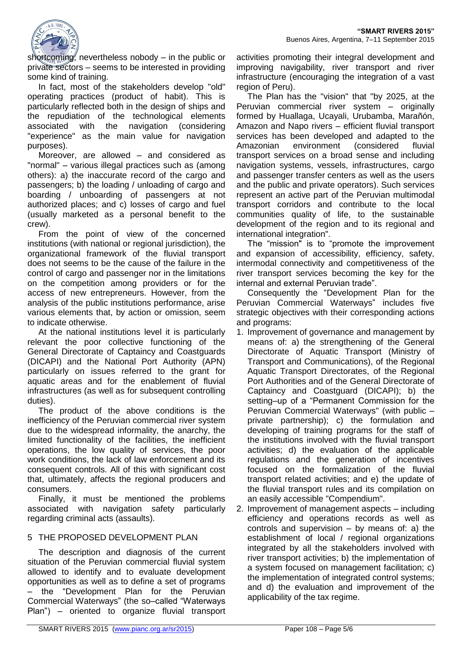

shortcoming; nevertheless nobody – in the public or private sectors – seems to be interested in providing some kind of training.

In fact, most of the stakeholders develop "old" operating practices (product of habit). This is particularly reflected both in the design of ships and the repudiation of the technological elements associated with the navigation (considering "experience" as the main value for navigation purposes).

Moreover, are allowed – and considered as "normal" – various illegal practices such as (among others): a) the inaccurate record of the cargo and passengers; b) the loading / unloading of cargo and boarding / unboarding of passengers at not authorized places; and c) losses of cargo and fuel (usually marketed as a personal benefit to the crew).

From the point of view of the concerned institutions (with national or regional jurisdiction), the organizational framework of the fluvial transport does not seems to be the cause of the failure in the control of cargo and passenger nor in the limitations on the competition among providers or for the access of new entrepreneurs. However, from the analysis of the public institutions performance, arise various elements that, by action or omission, seem to indicate otherwise.

At the national institutions level it is particularly relevant the poor collective functioning of the General Directorate of Captaincy and Coastguards (DICAPI) and the National Port Authority (APN) particularly on issues referred to the grant for aquatic areas and for the enablement of fluvial infrastructures (as well as for subsequent controlling duties).

The product of the above conditions is the inefficiency of the Peruvian commercial river system due to the widespread informality, the anarchy, the limited functionality of the facilities, the inefficient operations, the low quality of services, the poor work conditions, the lack of law enforcement and its consequent controls. All of this with significant cost that, ultimately, affects the regional producers and consumers.

Finally, it must be mentioned the problems associated with navigation safety particularly regarding criminal acts (assaults).

# 5 THE PROPOSED DEVELOPMENT PLAN

The description and diagnosis of the current situation of the Peruvian commercial fluvial system allowed to identify and to evaluate development opportunities as well as to define a set of programs the "Development Plan for the Peruvian Commercial Waterways" (the so–called "Waterways Plan") – oriented to organize fluvial transport

activities promoting their integral development and improving navigability, river transport and river infrastructure (encouraging the integration of a vast region of Peru).

The Plan has the "vision" that "by 2025, at the Peruvian commercial river system – originally formed by Huallaga, Ucayali, Urubamba, Marañón, Amazon and Napo rivers – efficient fluvial transport services has been developed and adapted to the Amazonian environment (considered fluvial transport services on a broad sense and including navigation systems, vessels, infrastructures, cargo and passenger transfer centers as well as the users and the public and private operators). Such services represent an active part of the Peruvian multimodal transport corridors and contribute to the local communities quality of life, to the sustainable development of the region and to its regional and international integration".

The "mission" is to "promote the improvement and expansion of accessibility, efficiency, safety, intermodal connectivity and competitiveness of the river transport services becoming the key for the internal and external Peruvian trade".

Consequently the "Development Plan for the Peruvian Commercial Waterways" includes five strategic objectives with their corresponding actions and programs:

- 1. Improvement of governance and management by means of: a) the strengthening of the General Directorate of Aquatic Transport (Ministry of Transport and Communications), of the Regional Aquatic Transport Directorates, of the Regional Port Authorities and of the General Directorate of Captaincy and Coastguard (DICAPI); b) the setting–up of a "Permanent Commission for the Peruvian Commercial Waterways" (with public – private partnership); c) the formulation and developing of training programs for the staff of the institutions involved with the fluvial transport activities; d) the evaluation of the applicable regulations and the generation of incentives focused on the formalization of the fluvial transport related activities; and e) the update of the fluvial transport rules and its compilation on an easily accessible "Compendium".
- 2. Improvement of management aspects including efficiency and operations records as well as controls and supervision – by means of: a) the establishment of local / regional organizations integrated by all the stakeholders involved with river transport activities; b) the implementation of a system focused on management facilitation; c) the implementation of integrated control systems; and d) the evaluation and improvement of the applicability of the tax regime.